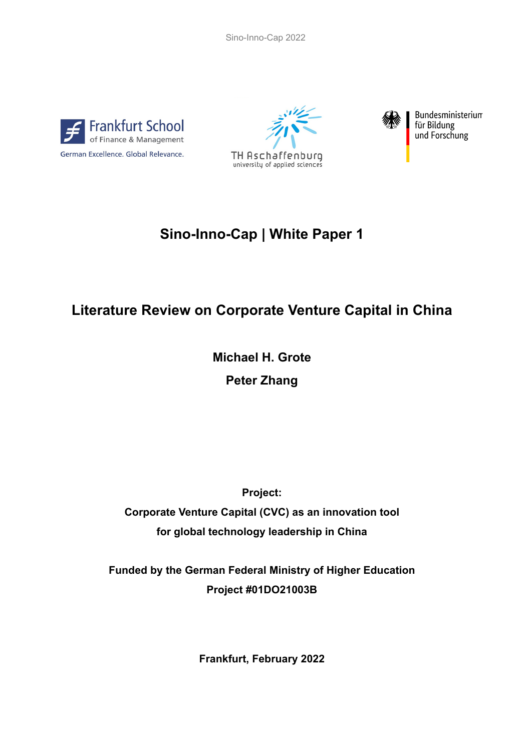Sino-Inno-Cap 2022







Bundesministerium für Bildung und Forschung

# **Sino-Inno-Cap | White Paper 1**

# **Literature Review on Corporate Venture Capital in China**

**Michael H. Grote Peter Zhang**

**Project:**

**Corporate Venture Capital (CVC) as an innovation tool for global technology leadership in China**

**Funded by the German Federal Ministry of Higher Education Project #01DO21003B**

**Frankfurt, February 2022**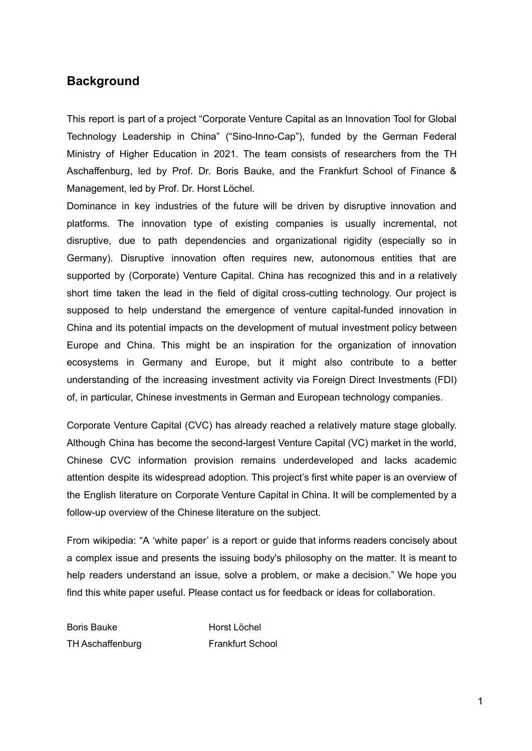# **Background**

This report is part of a project "Corporate Venture Capital as an Innovation Tool for Global Technology Leadership in China" ("Sino-Inno-Cap"), funded by the German Federal Ministry of Higher Education in 2021. The team consists of researchers from the TH Aschaffenburg, led by Prof. Dr. Boris Bauke, and the Frankfurt School of Finance & Management, led by Prof. Dr. Horst Löchel.

Dominance in key industries of the future will be driven by disruptive innovation and platforms. The innovation type of existing companies is usually incremental, not disruptive, due to path dependencies and organizational rigidity (especially so in Germany). Disruptive innovation often requires new, autonomous entities that are supported by (Corporate) Venture Capital. China has recognized this and in a relatively short time taken the lead in the field of digital cross-cutting technology. Our project is supposed to help understand the emergence of venture capital-funded innovation in China and its potential impacts on the development of mutual investment policy between Europe and China. This might be an inspiration for the organization of innovation ecosystems in Germany and Europe, but it might also contribute to a better understanding of the increasing investment activity via Foreign Direct Investments (FDI) of, in particular, Chinese investments in German and European technology companies.

Corporate Venture Capital (CVC) has already reached a relatively mature stage globally. Although China has become the second-largest Venture Capital (VC) market in the world, Chinese CVC information provision remains underdeveloped and lacks academic attention despite its widespread adoption. This project's first white paper is an overview of the English literature on Corporate Venture Capital in China. It will be complemented by a follow-up overview of the Chinese literature on the subject.

From wikipedia: "A 'white paper' is a report or guide that informs readers concisely about a complex issue and presents the issuing body's [philosophy](https://en.wikipedia.org/wiki/Philosophy) on the matter. It is meant to help readers understand an issue, solve a problem, or make a decision." We hope you find this white paper useful. Please contact us for feedback or ideas for collaboration.

Boris Bauke Horst Löchel TH Aschaffenburg Frankfurt School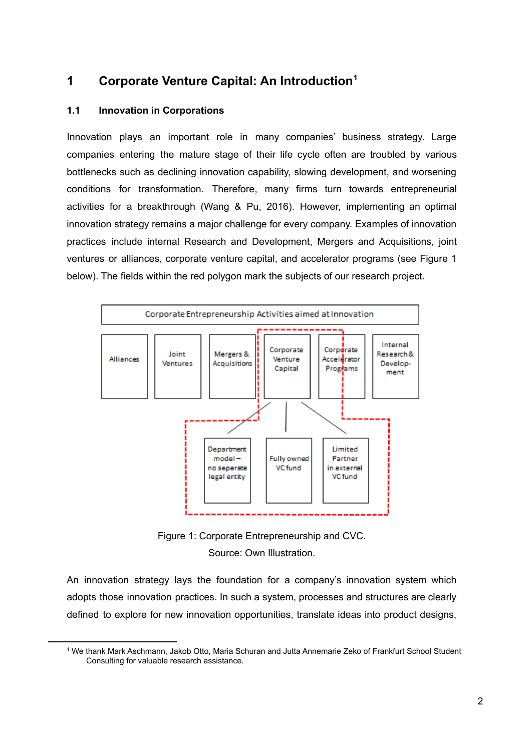# **1 Corporate Venture Capital: An Introduction 1**

### **1.1 Innovation in Corporations**

Innovation plays an important role in many companies' business strategy. Large companies entering the mature stage of their life cycle often are troubled by various bottlenecks such as declining innovation capability, slowing development, and worsening conditions for transformation. Therefore, many firms turn towards entrepreneurial activities for a breakthrough (Wang & Pu, 2016). However, implementing an optimal innovation strategy remains a major challenge for every company. Examples of innovation practices include internal Research and Development, Mergers and Acquisitions, joint ventures or alliances, corporate venture capital, and accelerator programs (see Figure 1 below). The fields within the red polygon mark the subjects of our research project.



Figure 1: Corporate Entrepreneurship and CVC. Source: Own Illustration.

An innovation strategy lays the foundation for a company's innovation system which adopts those innovation practices. In such a system, processes and structures are clearly defined to explore for new innovation opportunities, translate ideas into product designs,

<sup>1</sup> We thank Mark Aschmann, Jakob Otto, Maria Schuran and Jutta Annemarie Zeko of Frankfurt School Student Consulting for valuable research assistance.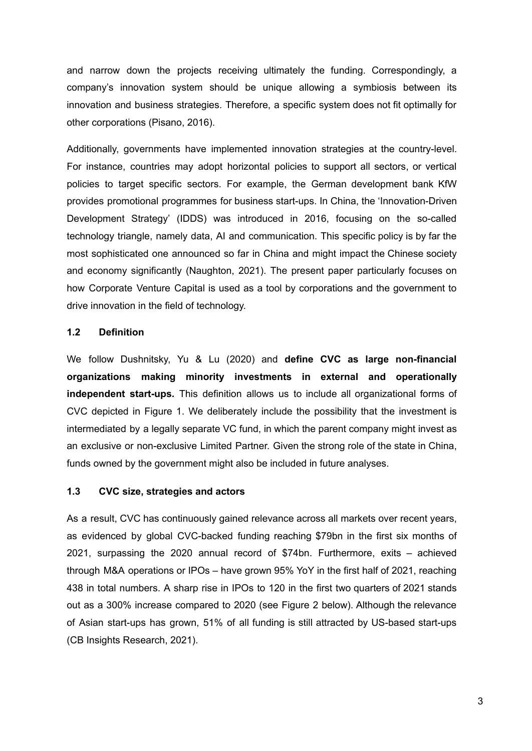and narrow down the projects receiving ultimately the funding. Correspondingly, a company's innovation system should be unique allowing a symbiosis between its innovation and business strategies. Therefore, a specific system does not fit optimally for other corporations (Pisano, 2016).

Additionally, governments have implemented innovation strategies at the country-level. For instance, countries may adopt horizontal policies to support all sectors, or vertical policies to target specific sectors. For example, the German development bank KfW provides promotional programmes for business start-ups. In China, the 'Innovation-Driven Development Strategy' (IDDS) was introduced in 2016, focusing on the so-called technology triangle, namely data, AI and communication. This specific policy is by far the most sophisticated one announced so far in China and might impact the Chinese society and economy significantly (Naughton, 2021). The present paper particularly focuses on how Corporate Venture Capital is used as a tool by corporations and the government to drive innovation in the field of technology.

#### **1.2 Definition**

We follow Dushnitsky, Yu & Lu (2020) and **define CVC as large non-financial organizations making minority investments in external and operationally independent start-ups.** This definition allows us to include all organizational forms of CVC depicted in Figure 1. We deliberately include the possibility that the investment is intermediated by a legally separate VC fund, in which the parent company might invest as an exclusive or non-exclusive Limited Partner. Given the strong role of the state in China, funds owned by the government might also be included in future analyses.

#### **1.3 CVC size, strategies and actors**

As a result, CVC has continuously gained relevance across all markets over recent years, as evidenced by global CVC-backed funding reaching \$79bn in the first six months of 2021, surpassing the 2020 annual record of \$74bn. Furthermore, exits – achieved through M&A operations or IPOs – have grown 95% YoY in the first half of 2021, reaching 438 in total numbers. A sharp rise in IPOs to 120 in the first two quarters of 2021 stands out as a 300% increase compared to 2020 (see Figure 2 below). Although the relevance of Asian start-ups has grown, 51% of all funding is still attracted by US-based start-ups (CB Insights Research, 2021).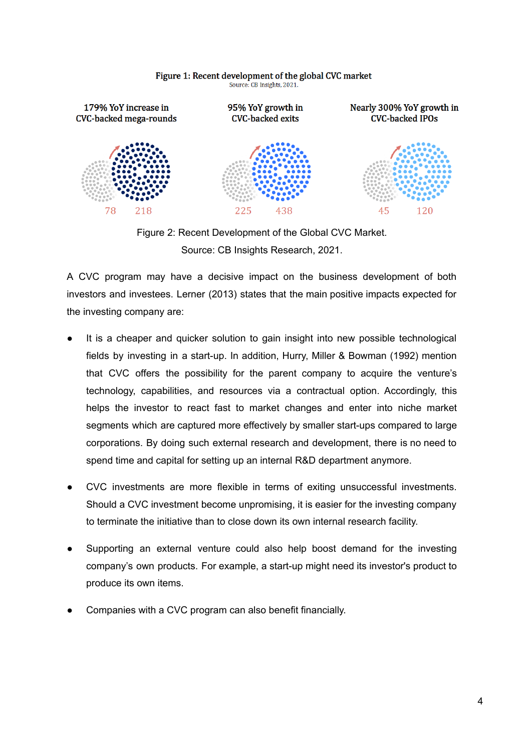

#### Figure 1: Recent development of the global CVC market Source: CB Insights, 2021.

Figure 2: Recent Development of the Global CVC Market. Source: CB Insights Research, 2021.

A CVC program may have a decisive impact on the business development of both investors and investees. Lerner (2013) states that the main positive impacts expected for the investing company are:

- It is a cheaper and quicker solution to gain insight into new possible technological fields by investing in a start-up. In addition, Hurry, Miller & Bowman (1992) mention that CVC offers the possibility for the parent company to acquire the venture's technology, capabilities, and resources via a contractual option. Accordingly, this helps the investor to react fast to market changes and enter into niche market segments which are captured more effectively by smaller start-ups compared to large corporations. By doing such external research and development, there is no need to spend time and capital for setting up an internal R&D department anymore.
- CVC investments are more flexible in terms of exiting unsuccessful investments. Should a CVC investment become unpromising, it is easier for the investing company to terminate the initiative than to close down its own internal research facility.
- Supporting an external venture could also help boost demand for the investing company's own products. For example, a start-up might need its investor's product to produce its own items.
- Companies with a CVC program can also benefit financially.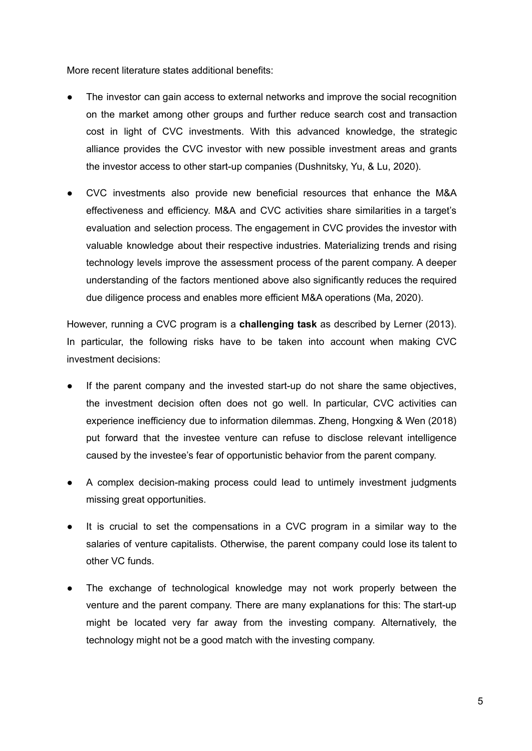More recent literature states additional benefits:

- The investor can gain access to external networks and improve the social recognition on the market among other groups and further reduce search cost and transaction cost in light of CVC investments. With this advanced knowledge, the strategic alliance provides the CVC investor with new possible investment areas and grants the investor access to other start-up companies (Dushnitsky, Yu, & Lu, 2020).
- CVC investments also provide new beneficial resources that enhance the M&A effectiveness and efficiency. M&A and CVC activities share similarities in a target's evaluation and selection process. The engagement in CVC provides the investor with valuable knowledge about their respective industries. Materializing trends and rising technology levels improve the assessment process of the parent company. A deeper understanding of the factors mentioned above also significantly reduces the required due diligence process and enables more efficient M&A operations (Ma, 2020).

However, running a CVC program is a **challenging task** as described by Lerner (2013). In particular, the following risks have to be taken into account when making CVC investment decisions:

- If the parent company and the invested start-up do not share the same objectives, the investment decision often does not go well. In particular, CVC activities can experience inefficiency due to information dilemmas. Zheng, Hongxing & Wen (2018) put forward that the investee venture can refuse to disclose relevant intelligence caused by the investee's fear of opportunistic behavior from the parent company.
- A complex decision-making process could lead to untimely investment judgments missing great opportunities.
- It is crucial to set the compensations in a CVC program in a similar way to the salaries of venture capitalists. Otherwise, the parent company could lose its talent to other VC funds.
- The exchange of technological knowledge may not work properly between the venture and the parent company. There are many explanations for this: The start-up might be located very far away from the investing company. Alternatively, the technology might not be a good match with the investing company.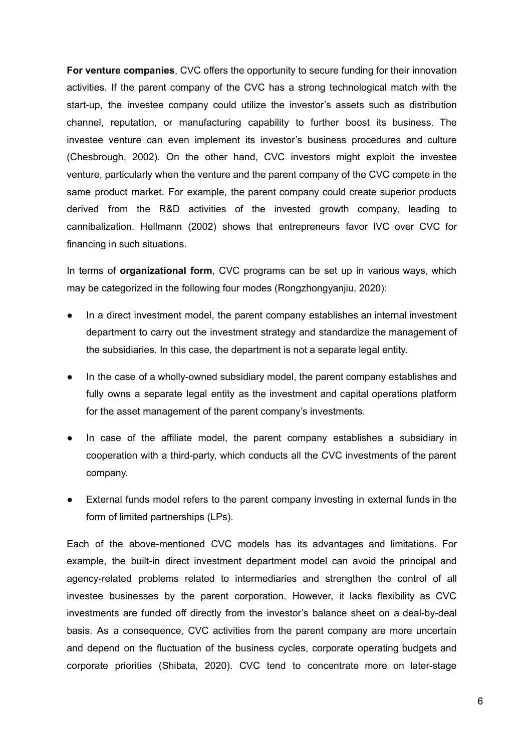**For venture companies**, CVC offers the opportunity to secure funding for their innovation activities. If the parent company of the CVC has a strong technological match with the start-up, the investee company could utilize the investor's assets such as distribution channel, reputation, or manufacturing capability to further boost its business. The investee venture can even implement its investor's business procedures and culture (Chesbrough, 2002). On the other hand, CVC investors might exploit the investee venture, particularly when the venture and the parent company of the CVC compete in the same product market. For example, the parent company could create superior products derived from the R&D activities of the invested growth company, leading to cannibalization. Hellmann (2002) shows that entrepreneurs favor IVC over CVC for financing in such situations.

In terms of **organizational form**, CVC programs can be set up in various ways, which may be categorized in the following four modes (Rongzhongyanjiu, 2020):

- In a direct investment model, the parent company establishes an internal investment department to carry out the investment strategy and standardize the management of the subsidiaries. In this case, the department is not a separate legal entity.
- In the case of a wholly-owned subsidiary model, the parent company establishes and fully owns a separate legal entity as the investment and capital operations platform for the asset management of the parent company's investments.
- In case of the affiliate model, the parent company establishes a subsidiary in cooperation with a third-party, which conducts all the CVC investments of the parent company.
- External funds model refers to the parent company investing in external funds in the form of limited partnerships (LPs).

Each of the above-mentioned CVC models has its advantages and limitations. For example, the built-in direct investment department model can avoid the principal and agency-related problems related to intermediaries and strengthen the control of all investee businesses by the parent corporation. However, it lacks flexibility as CVC investments are funded off directly from the investor's balance sheet on a deal-by-deal basis. As a consequence, CVC activities from the parent company are more uncertain and depend on the fluctuation of the business cycles, corporate operating budgets and corporate priorities (Shibata, 2020). CVC tend to concentrate more on later-stage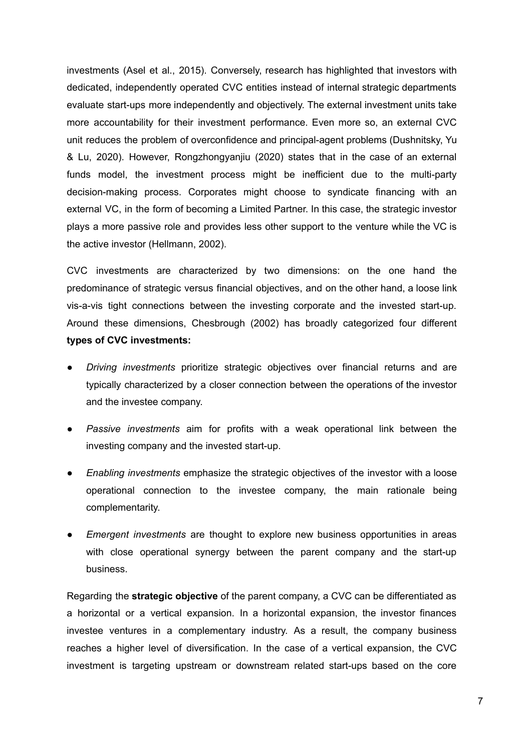investments (Asel et al., 2015). Conversely, research has highlighted that investors with dedicated, independently operated CVC entities instead of internal strategic departments evaluate start-ups more independently and objectively. The external investment units take more accountability for their investment performance. Even more so, an external CVC unit reduces the problem of overconfidence and principal-agent problems (Dushnitsky, Yu & Lu, 2020). However, Rongzhongyanjiu (2020) states that in the case of an external funds model, the investment process might be inefficient due to the multi-party decision-making process. Corporates might choose to syndicate financing with an external VC, in the form of becoming a Limited Partner. In this case, the strategic investor plays a more passive role and provides less other support to the venture while the VC is the active investor (Hellmann, 2002).

CVC investments are characterized by two dimensions: on the one hand the predominance of strategic versus financial objectives, and on the other hand, a loose link vis-a-vis tight connections between the investing corporate and the invested start-up. Around these dimensions, Chesbrough (2002) has broadly categorized four different **types of CVC investments:**

- *Driving investments* prioritize strategic objectives over financial returns and are typically characterized by a closer connection between the operations of the investor and the investee company.
- *Passive investments* aim for profits with a weak operational link between the investing company and the invested start-up.
- *Enabling investments* emphasize the strategic objectives of the investor with a loose operational connection to the investee company, the main rationale being complementarity.
- *Emergent investments* are thought to explore new business opportunities in areas with close operational synergy between the parent company and the start-up business.

Regarding the **strategic objective** of the parent company, a CVC can be differentiated as a horizontal or a vertical expansion. In a horizontal expansion, the investor finances investee ventures in a complementary industry. As a result, the company business reaches a higher level of diversification. In the case of a vertical expansion, the CVC investment is targeting upstream or downstream related start-ups based on the core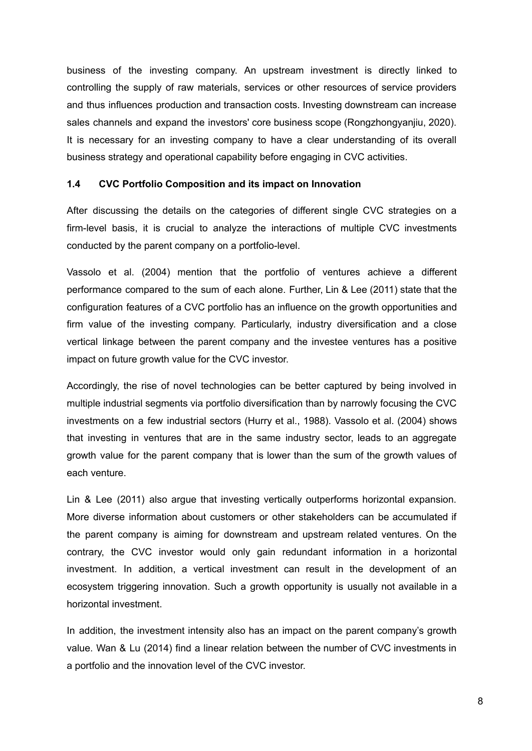business of the investing company. An upstream investment is directly linked to controlling the supply of raw materials, services or other resources of service providers and thus influences production and transaction costs. Investing downstream can increase sales channels and expand the investors' core business scope (Rongzhongyanjiu, 2020). It is necessary for an investing company to have a clear understanding of its overall business strategy and operational capability before engaging in CVC activities.

#### **1.4 CVC Portfolio Composition and its impact on Innovation**

After discussing the details on the categories of different single CVC strategies on a firm-level basis, it is crucial to analyze the interactions of multiple CVC investments conducted by the parent company on a portfolio-level.

Vassolo et al. (2004) mention that the portfolio of ventures achieve a different performance compared to the sum of each alone. Further, Lin & Lee (2011) state that the configuration features of a CVC portfolio has an influence on the growth opportunities and firm value of the investing company. Particularly, industry diversification and a close vertical linkage between the parent company and the investee ventures has a positive impact on future growth value for the CVC investor.

Accordingly, the rise of novel technologies can be better captured by being involved in multiple industrial segments via portfolio diversification than by narrowly focusing the CVC investments on a few industrial sectors (Hurry et al., 1988). Vassolo et al. (2004) shows that investing in ventures that are in the same industry sector, leads to an aggregate growth value for the parent company that is lower than the sum of the growth values of each venture.

Lin & Lee (2011) also argue that investing vertically outperforms horizontal expansion. More diverse information about customers or other stakeholders can be accumulated if the parent company is aiming for downstream and upstream related ventures. On the contrary, the CVC investor would only gain redundant information in a horizontal investment. In addition, a vertical investment can result in the development of an ecosystem triggering innovation. Such a growth opportunity is usually not available in a horizontal investment.

In addition, the investment intensity also has an impact on the parent company's growth value. Wan & Lu (2014) find a linear relation between the number of CVC investments in a portfolio and the innovation level of the CVC investor.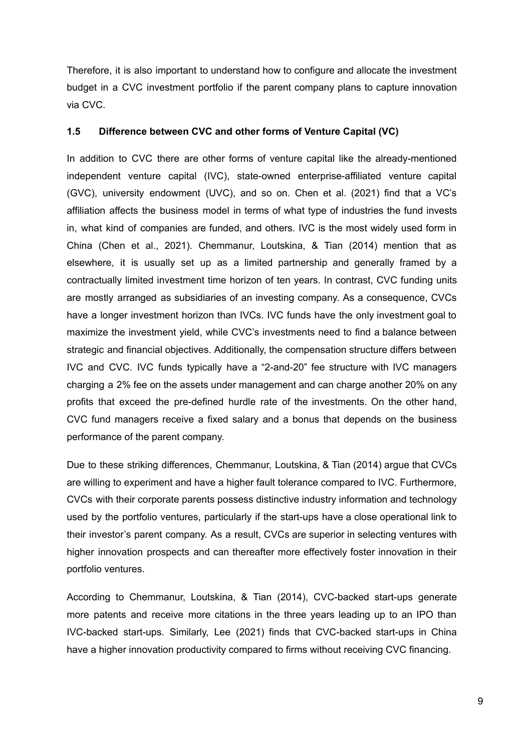Therefore, it is also important to understand how to configure and allocate the investment budget in a CVC investment portfolio if the parent company plans to capture innovation via CVC.

#### **1.5 Difference between CVC and other forms of Venture Capital (VC)**

In addition to CVC there are other forms of venture capital like the already-mentioned independent venture capital (IVC), state-owned enterprise-affiliated venture capital (GVC), university endowment (UVC), and so on. Chen et al. (2021) find that a VC's affiliation affects the business model in terms of what type of industries the fund invests in, what kind of companies are funded, and others. IVC is the most widely used form in China (Chen et al., 2021). Chemmanur, Loutskina, & Tian (2014) mention that as elsewhere, it is usually set up as a limited partnership and generally framed by a contractually limited investment time horizon of ten years. In contrast, CVC funding units are mostly arranged as subsidiaries of an investing company. As a consequence, CVCs have a longer investment horizon than IVCs. IVC funds have the only investment goal to maximize the investment yield, while CVC's investments need to find a balance between strategic and financial objectives. Additionally, the compensation structure differs between IVC and CVC. IVC funds typically have a "2-and-20" fee structure with IVC managers charging a 2% fee on the assets under management and can charge another 20% on any profits that exceed the pre-defined hurdle rate of the investments. On the other hand, CVC fund managers receive a fixed salary and a bonus that depends on the business performance of the parent company.

Due to these striking differences, Chemmanur, Loutskina, & Tian (2014) argue that CVCs are willing to experiment and have a higher fault tolerance compared to IVC. Furthermore, CVCs with their corporate parents possess distinctive industry information and technology used by the portfolio ventures, particularly if the start-ups have a close operational link to their investor's parent company. As a result, CVCs are superior in selecting ventures with higher innovation prospects and can thereafter more effectively foster innovation in their portfolio ventures.

According to Chemmanur, Loutskina, & Tian (2014), CVC-backed start-ups generate more patents and receive more citations in the three years leading up to an IPO than IVC-backed start-ups. Similarly, Lee (2021) finds that CVC-backed start-ups in China have a higher innovation productivity compared to firms without receiving CVC financing.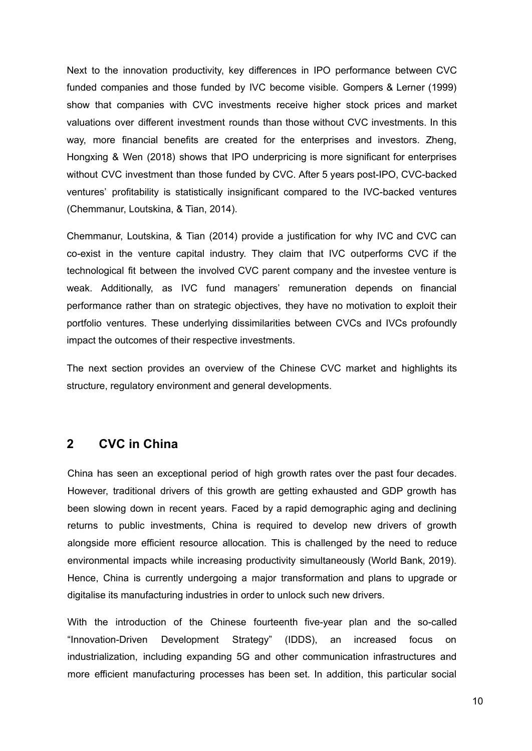Next to the innovation productivity, key differences in IPO performance between CVC funded companies and those funded by IVC become visible. Gompers & Lerner (1999) show that companies with CVC investments receive higher stock prices and market valuations over different investment rounds than those without CVC investments. In this way, more financial benefits are created for the enterprises and investors. Zheng, Hongxing & Wen (2018) shows that IPO underpricing is more significant for enterprises without CVC investment than those funded by CVC. After 5 years post-IPO, CVC-backed ventures' profitability is statistically insignificant compared to the IVC-backed ventures (Chemmanur, Loutskina, & Tian, 2014).

Chemmanur, Loutskina, & Tian (2014) provide a justification for why IVC and CVC can co-exist in the venture capital industry. They claim that IVC outperforms CVC if the technological fit between the involved CVC parent company and the investee venture is weak. Additionally, as IVC fund managers' remuneration depends on financial performance rather than on strategic objectives, they have no motivation to exploit their portfolio ventures. These underlying dissimilarities between CVCs and IVCs profoundly impact the outcomes of their respective investments.

The next section provides an overview of the Chinese CVC market and highlights its structure, regulatory environment and general developments.

## **2 CVC in China**

China has seen an exceptional period of high growth rates over the past four decades. However, traditional drivers of this growth are getting exhausted and GDP growth has been slowing down in recent years. Faced by a rapid demographic aging and declining returns to public investments, China is required to develop new drivers of growth alongside more efficient resource allocation. This is challenged by the need to reduce environmental impacts while increasing productivity simultaneously (World Bank, 2019). Hence, China is currently undergoing a major transformation and plans to upgrade or digitalise its manufacturing industries in order to unlock such new drivers.

With the introduction of the Chinese fourteenth five-year plan and the so-called "Innovation-Driven Development Strategy" (IDDS), an increased focus on industrialization, including expanding 5G and other communication infrastructures and more efficient manufacturing processes has been set. In addition, this particular social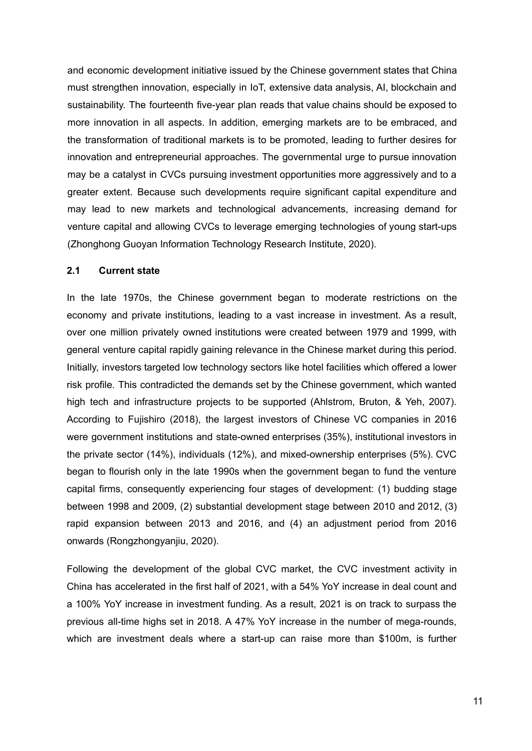and economic [development](https://en.wikipedia.org/wiki/Economic_development) initiative issued by the [Chinese](https://en.wikipedia.org/wiki/Chinese_Communist_Party) government states that China must strengthen innovation, especially in IoT, extensive data analysis, AI, blockchain and sustainability. The fourteenth five-year plan reads that value chains should be exposed to more innovation in all aspects. In addition, emerging markets are to be embraced, and the transformation of traditional markets is to be promoted, leading to further desires for innovation and entrepreneurial approaches. The governmental urge to pursue innovation may be a catalyst in CVCs pursuing investment opportunities more aggressively and to a greater extent. Because such developments require significant capital expenditure and may lead to new markets and technological advancements, increasing demand for venture capital and allowing CVCs to leverage emerging technologies of young start-ups (Zhonghong Guoyan Information Technology Research Institute, 2020).

### **2.1 Current state**

In the late 1970s, the Chinese government began to moderate restrictions on the economy and private institutions, leading to a vast increase in investment. As a result, over one million privately owned institutions were created between 1979 and 1999, with general venture capital rapidly gaining relevance in the Chinese market during this period. Initially, investors targeted low technology sectors like hotel facilities which offered a lower risk profile. This contradicted the demands set by the Chinese government, which wanted high tech and infrastructure projects to be supported (Ahlstrom, Bruton, & Yeh, 2007). According to Fujishiro (2018), the largest investors of Chinese VC companies in 2016 were government institutions and state-owned enterprises (35%), institutional investors in the private sector (14%), individuals (12%), and mixed-ownership enterprises (5%). CVC began to flourish only in the late 1990s when the government began to fund the venture capital firms, consequently experiencing four stages of development: (1) budding stage between 1998 and 2009, (2) substantial development stage between 2010 and 2012, (3) rapid expansion between 2013 and 2016, and (4) an adjustment period from 2016 onwards (Rongzhongyanjiu, 2020).

Following the development of the global CVC market, the CVC investment activity in China has accelerated in the first half of 2021, with a 54% YoY increase in deal count and a 100% YoY increase in investment funding. As a result, 2021 is on track to surpass the previous all-time highs set in 2018. A 47% YoY increase in the number of mega-rounds, which are investment deals where a start-up can raise more than \$100m, is further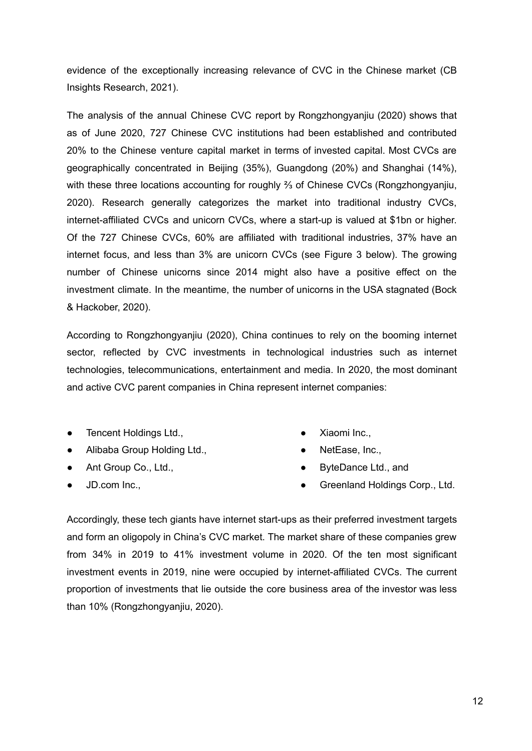evidence of the exceptionally increasing relevance of CVC in the Chinese market (CB Insights Research, 2021).

The analysis of the annual Chinese CVC report by Rongzhongyanjiu (2020) shows that as of June 2020, 727 Chinese CVC institutions had been established and contributed 20% to the Chinese venture capital market in terms of invested capital. Most CVCs are geographically concentrated in Beijing (35%), Guangdong (20%) and Shanghai (14%), with these three locations accounting for roughly ⅔ of Chinese CVCs (Rongzhongyanjiu, 2020). Research generally categorizes the market into traditional industry CVCs, internet-affiliated CVCs and unicorn CVCs, where a start-up is valued at \$1bn or higher. Of the 727 Chinese CVCs, 60% are affiliated with traditional industries, 37% have an internet focus, and less than 3% are unicorn CVCs (see Figure 3 below). The growing number of Chinese unicorns since 2014 might also have a positive effect on the investment climate. In the meantime, the number of unicorns in the USA stagnated (Bock & Hackober, 2020).

According to Rongzhongyanjiu (2020), China continues to rely on the booming internet sector, reflected by CVC investments in technological industries such as internet technologies, telecommunications, entertainment and media. In 2020, the most dominant and active CVC parent companies in China represent internet companies:

- Tencent Holdings Ltd.,
- Alibaba Group Holding Ltd.,
- Ant Group Co., Ltd.,
- JD.com Inc.,
- Xiaomi Inc.,
- NetEase, Inc.,
- ByteDance Ltd., and
- Greenland Holdings Corp., Ltd.

Accordingly, these tech giants have internet start-ups as their preferred investment targets and form an oligopoly in China's CVC market. The market share of these companies grew from 34% in 2019 to 41% investment volume in 2020. Of the ten most significant investment events in 2019, nine were occupied by internet-affiliated CVCs. The current proportion of investments that lie outside the core business area of the investor was less than 10% (Rongzhongyanjiu, 2020).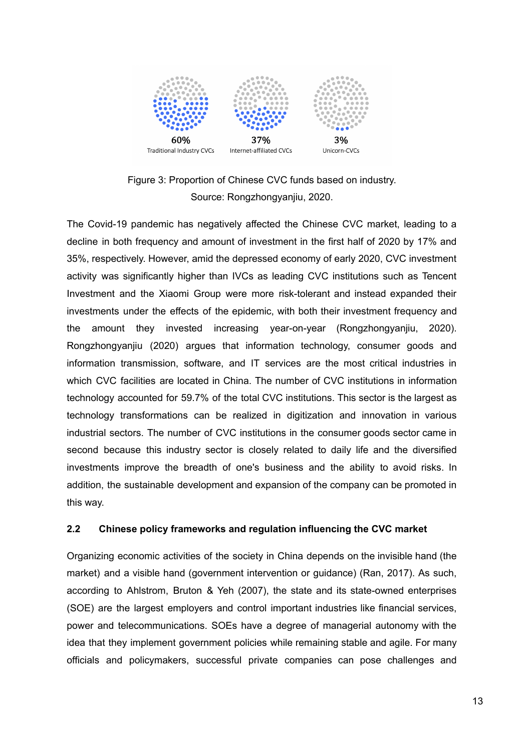



The Covid-19 pandemic has negatively affected the Chinese CVC market, leading to a decline in both frequency and amount of investment in the first half of 2020 by 17% and 35%, respectively. However, amid the depressed economy of early 2020, CVC investment activity was significantly higher than IVCs as leading CVC institutions such as Tencent Investment and the Xiaomi Group were more risk-tolerant and instead expanded their investments under the effects of the epidemic, with both their investment frequency and the amount they invested increasing year-on-year (Rongzhongyanjiu, 2020). Rongzhongyanjiu (2020) argues that information technology, consumer goods and information transmission, software, and IT services are the most critical industries in which CVC facilities are located in China. The number of CVC institutions in information technology accounted for 59.7% of the total CVC institutions. This sector is the largest as technology transformations can be realized in digitization and innovation in various industrial sectors. The number of CVC institutions in the consumer goods sector came in second because this industry sector is closely related to daily life and the diversified investments improve the breadth of one's business and the ability to avoid risks. In addition, the sustainable development and expansion of the company can be promoted in this way.

#### **2.2 Chinese policy frameworks and regulation influencing the CVC market**

Organizing economic activities of the society in China depends on the invisible hand (the market) and a visible hand (government intervention or guidance) (Ran, 2017). As such, according to Ahlstrom, Bruton & Yeh (2007), the state and its state-owned enterprises (SOE) are the largest employers and control important industries like financial services, power and telecommunications. SOEs have a degree of managerial autonomy with the idea that they implement government policies while remaining stable and agile. For many officials and policymakers, successful private companies can pose challenges and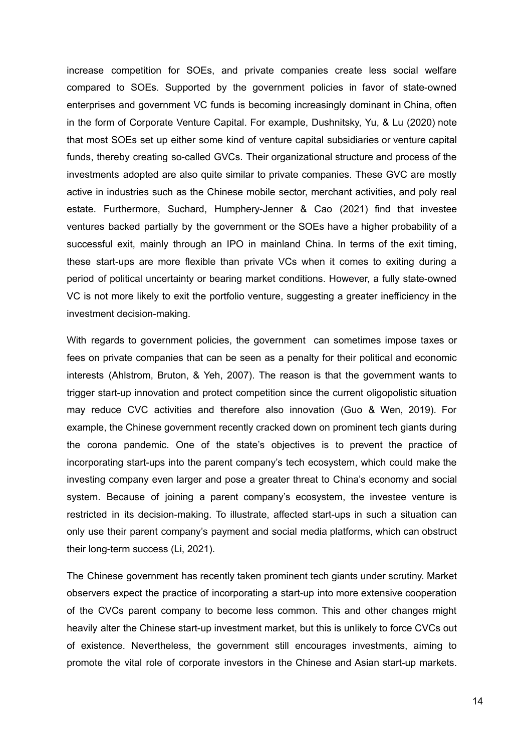increase competition for SOEs, and private companies create less social welfare compared to SOEs. Supported by the government policies in favor of state-owned enterprises and government VC funds is becoming increasingly dominant in China, often in the form of Corporate Venture Capital. For example, Dushnitsky, Yu, & Lu (2020) note that most SOEs set up either some kind of venture capital subsidiaries or venture capital funds, thereby creating so-called GVCs. Their organizational structure and process of the investments adopted are also quite similar to private companies. These GVC are mostly active in industries such as the Chinese mobile sector, merchant activities, and poly real estate. Furthermore, Suchard, Humphery-Jenner & Cao (2021) find that investee ventures backed partially by the government or the SOEs have a higher probability of a successful exit, mainly through an IPO in mainland China. In terms of the exit timing, these start-ups are more flexible than private VCs when it comes to exiting during a period of political uncertainty or bearing market conditions. However, a fully state-owned VC is not more likely to exit the portfolio venture, suggesting a greater inefficiency in the investment decision-making.

With regards to government policies, the government can sometimes impose taxes or fees on private companies that can be seen as a penalty for their political and economic interests (Ahlstrom, Bruton, & Yeh, 2007). The reason is that the government wants to trigger start-up innovation and protect competition since the current oligopolistic situation may reduce CVC activities and therefore also innovation (Guo & Wen, 2019). For example, the Chinese government recently cracked down on prominent tech giants during the corona pandemic. One of the state's objectives is to prevent the practice of incorporating start-ups into the parent company's tech ecosystem, which could make the investing company even larger and pose a greater threat to China's economy and social system. Because of joining a parent company's ecosystem, the investee venture is restricted in its decision-making. To illustrate, affected start-ups in such a situation can only use their parent company's payment and social media platforms, which can obstruct their long-term success (Li, 2021).

The Chinese government has recently taken prominent tech giants under scrutiny. Market observers expect the practice of incorporating a start-up into more extensive cooperation of the CVCs parent company to become less common. This and other changes might heavily alter the Chinese start-up investment market, but this is unlikely to force CVCs out of existence. Nevertheless, the government still encourages investments, aiming to promote the vital role of corporate investors in the Chinese and Asian start-up markets.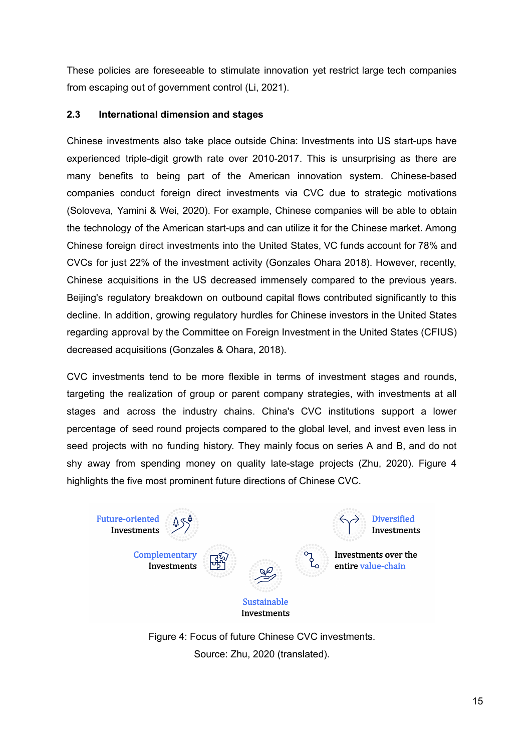These policies are foreseeable to stimulate innovation yet restrict large tech companies from escaping out of government control (Li, 2021).

## **2.3 International dimension and stages**

Chinese investments also take place outside China: Investments into US start-ups have experienced triple-digit growth rate over 2010-2017. This is unsurprising as there are many benefits to being part of the American innovation system. Chinese-based companies conduct foreign direct investments via CVC due to strategic motivations (Soloveva, Yamini & Wei, 2020). For example, Chinese companies will be able to obtain the technology of the American start-ups and can utilize it for the Chinese market. Among Chinese foreign direct investments into the United States, VC funds account for 78% and CVCs for just 22% of the investment activity (Gonzales Ohara 2018). However, recently, Chinese acquisitions in the US decreased immensely compared to the previous years. Beijing's regulatory breakdown on outbound capital flows contributed significantly to this decline. In addition, growing regulatory hurdles for Chinese investors in the United States regarding approval by the Committee on Foreign Investment in the United States (CFIUS) decreased acquisitions (Gonzales & Ohara, 2018).

CVC investments tend to be more flexible in terms of investment stages and rounds, targeting the realization of group or parent company strategies, with investments at all stages and across the industry chains. China's CVC institutions support a lower percentage of seed round projects compared to the global level, and invest even less in seed projects with no funding history. They mainly focus on series A and B, and do not shy away from spending money on quality late-stage projects (Zhu, 2020). Figure 4 highlights the five most prominent future directions of Chinese CVC.



Figure 4: Focus of future Chinese CVC investments. Source: Zhu, 2020 (translated).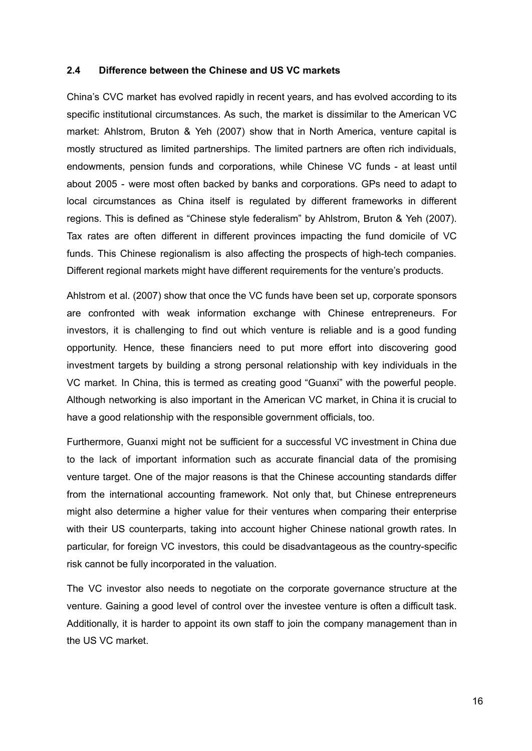#### **2.4 Difference between the Chinese and US VC markets**

China's CVC market has evolved rapidly in recent years, and has evolved according to its specific institutional circumstances. As such, the market is dissimilar to the American VC market: Ahlstrom, Bruton & Yeh (2007) show that in North America, venture capital is mostly structured as limited partnerships. The limited partners are often rich individuals, endowments, pension funds and corporations, while Chinese VC funds - at least until about 2005 - were most often backed by banks and corporations. GPs need to adapt to local circumstances as China itself is regulated by different frameworks in different regions. This is defined as "Chinese style federalism" by Ahlstrom, Bruton & Yeh (2007). Tax rates are often different in different provinces impacting the fund domicile of VC funds. This Chinese regionalism is also affecting the prospects of high-tech companies. Different regional markets might have different requirements for the venture's products.

Ahlstrom et al. (2007) show that once the VC funds have been set up, corporate sponsors are confronted with weak information exchange with Chinese entrepreneurs. For investors, it is challenging to find out which venture is reliable and is a good funding opportunity. Hence, these financiers need to put more effort into discovering good investment targets by building a strong personal relationship with key individuals in the VC market. In China, this is termed as creating good "Guanxi" with the powerful people. Although networking is also important in the American VC market, in China it is crucial to have a good relationship with the responsible government officials, too.

Furthermore, Guanxi might not be sufficient for a successful VC investment in China due to the lack of important information such as accurate financial data of the promising venture target. One of the major reasons is that the Chinese accounting standards differ from the international accounting framework. Not only that, but Chinese entrepreneurs might also determine a higher value for their ventures when comparing their enterprise with their US counterparts, taking into account higher Chinese national growth rates. In particular, for foreign VC investors, this could be disadvantageous as the country-specific risk cannot be fully incorporated in the valuation.

The VC investor also needs to negotiate on the corporate governance structure at the venture. Gaining a good level of control over the investee venture is often a difficult task. Additionally, it is harder to appoint its own staff to join the company management than in the US VC market.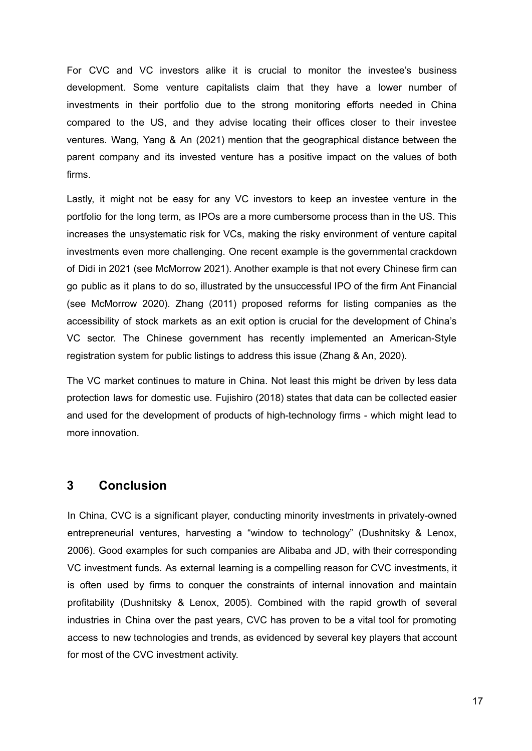For CVC and VC investors alike it is crucial to monitor the investee's business development. Some venture capitalists claim that they have a lower number of investments in their portfolio due to the strong monitoring efforts needed in China compared to the US, and they advise locating their offices closer to their investee ventures. Wang, Yang & An (2021) mention that the geographical distance between the parent company and its invested venture has a positive impact on the values of both firms.

Lastly, it might not be easy for any VC investors to keep an investee venture in the portfolio for the long term, as IPOs are a more cumbersome process than in the US. This increases the unsystematic risk for VCs, making the risky environment of venture capital investments even more challenging. One recent example is the governmental crackdown of Didi in 2021 (see McMorrow 2021). Another example is that not every Chinese firm can go public as it plans to do so, illustrated by the unsuccessful IPO of the firm Ant Financial (see McMorrow 2020). Zhang (2011) proposed reforms for listing companies as the accessibility of stock markets as an exit option is crucial for the development of China's VC sector. The Chinese government has recently implemented an American-Style registration system for public listings to address this issue (Zhang & An, 2020).

The VC market continues to mature in China. Not least this might be driven by less data protection laws for domestic use. Fujishiro (2018) states that data can be collected easier and used for the development of products of high-technology firms - which might lead to more innovation.

# **3 Conclusion**

In China, CVC is a significant player, conducting minority investments in privately-owned entrepreneurial ventures, harvesting a "window to technology" (Dushnitsky & Lenox, 2006). Good examples for such companies are Alibaba and JD, with their corresponding VC investment funds. As external learning is a compelling reason for CVC investments, it is often used by firms to conquer the constraints of internal innovation and maintain profitability (Dushnitsky & Lenox, 2005). Combined with the rapid growth of several industries in China over the past years, CVC has proven to be a vital tool for promoting access to new technologies and trends, as evidenced by several key players that account for most of the CVC investment activity.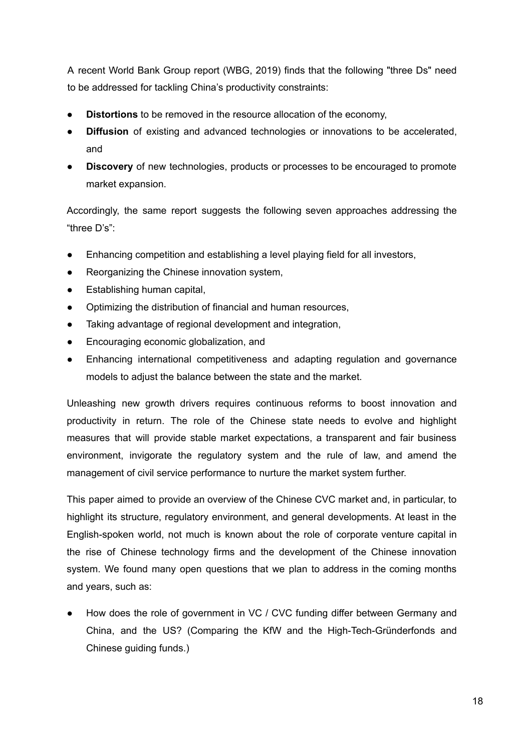A recent World Bank Group report (WBG, 2019) finds that the following "three Ds" need to be addressed for tackling China's productivity constraints:

- **Distortions** to be removed in the resource allocation of the economy,
- **Diffusion** of existing and advanced technologies or innovations to be accelerated, and
- **Discovery** of new technologies, products or processes to be encouraged to promote market expansion.

Accordingly, the same report suggests the following seven approaches addressing the "three D's":

- Enhancing competition and establishing a level playing field for all investors,
- Reorganizing the Chinese innovation system,
- Establishing human capital,
- Optimizing the distribution of financial and human resources,
- Taking advantage of regional development and integration,
- Encouraging economic globalization, and
- Enhancing international competitiveness and adapting regulation and governance models to adjust the balance between the state and the market.

Unleashing new growth drivers requires continuous reforms to boost innovation and productivity in return. The role of the Chinese state needs to evolve and highlight measures that will provide stable market expectations, a transparent and fair business environment, invigorate the regulatory system and the rule of law, and amend the management of civil service performance to nurture the market system further.

This paper aimed to provide an overview of the Chinese CVC market and, in particular, to highlight its structure, regulatory environment, and general developments. At least in the English-spoken world, not much is known about the role of corporate venture capital in the rise of Chinese technology firms and the development of the Chinese innovation system. We found many open questions that we plan to address in the coming months and years, such as:

How does the role of government in VC / CVC funding differ between Germany and China, and the US? (Comparing the KfW and the High-Tech-Gründerfonds and Chinese guiding funds.)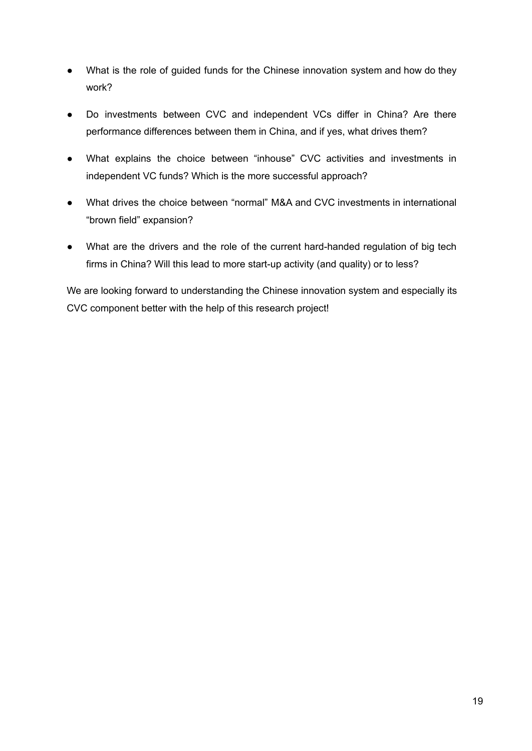- What is the role of guided funds for the Chinese innovation system and how do they work?
- Do investments between CVC and independent VCs differ in China? Are there performance differences between them in China, and if yes, what drives them?
- What explains the choice between "inhouse" CVC activities and investments in independent VC funds? Which is the more successful approach?
- What drives the choice between "normal" M&A and CVC investments in international "brown field" expansion?
- What are the drivers and the role of the current hard-handed regulation of big tech firms in China? Will this lead to more start-up activity (and quality) or to less?

We are looking forward to understanding the Chinese innovation system and especially its CVC component better with the help of this research project!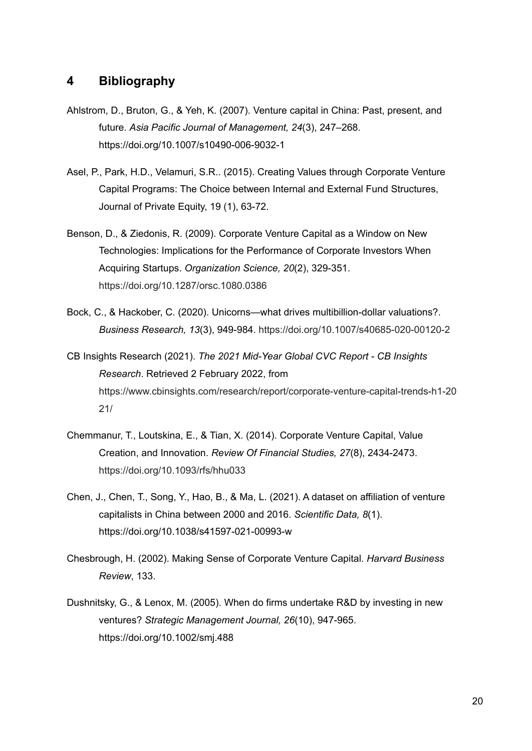# **4 Bibliography**

- Ahlstrom, D., Bruton, G., & Yeh, K. (2007). Venture capital in China: Past, present, and future. *Asia Pacific Journal of Management, 24*(3), 247–268. https://doi.org/10.1007/s10490-006-9032-1
- Asel, P., Park, H.D., Velamuri, S.R.. (2015). Creating Values through Corporate Venture Capital Programs: The Choice between Internal and External Fund Structures, Journal of Private Equity, 19 (1), 63-72.
- Benson, D., & Ziedonis, R. (2009). Corporate Venture Capital as a Window on New Technologies: Implications for the Performance of Corporate Investors When Acquiring Startups. *Organization Science, 20*(2), 329-351. <https://doi.org/10.1287/orsc.1080.0386>
- Bock, C., & Hackober, C. (2020). Unicorns—what drives multibillion-dollar valuations?. *Business Research, 13*(3), 949-984. <https://doi.org/10.1007/s40685-020-00120-2>
- CB Insights Research (2021). *The 2021 Mid-Year Global CVC Report - CB Insights Research*. Retrieved 2 February 2022, from [https://www.cbinsights.com/research/report/corporate-venture-capital-trends-h1-20](https://www.cbinsights.com/research/report/corporate-venture-capital-trends-h1-2021/) [21/](https://www.cbinsights.com/research/report/corporate-venture-capital-trends-h1-2021/)
- Chemmanur, T., Loutskina, E., & Tian, X. (2014). Corporate Venture Capital, Value Creation, and Innovation. *Review Of Financial Studies, 27*(8), 2434-2473. <https://doi.org/10.1093/rfs/hhu033>
- Chen, J., Chen, T., Song, Y., Hao, B., & Ma, L. (2021). A dataset on affiliation of venture capitalists in China between 2000 and 2016. *Scientific Data, 8*(1). https://doi.org/10.1038/s41597-021-00993-w
- Chesbrough, H. (2002). Making Sense of Corporate Venture Capital. *Harvard Business Review*, 133.
- Dushnitsky, G., & Lenox, M. (2005). When do firms undertake R&D by investing in new ventures? *Strategic Management Journal, 26*(10), 947-965. <https://doi.org/10.1002/smj.488>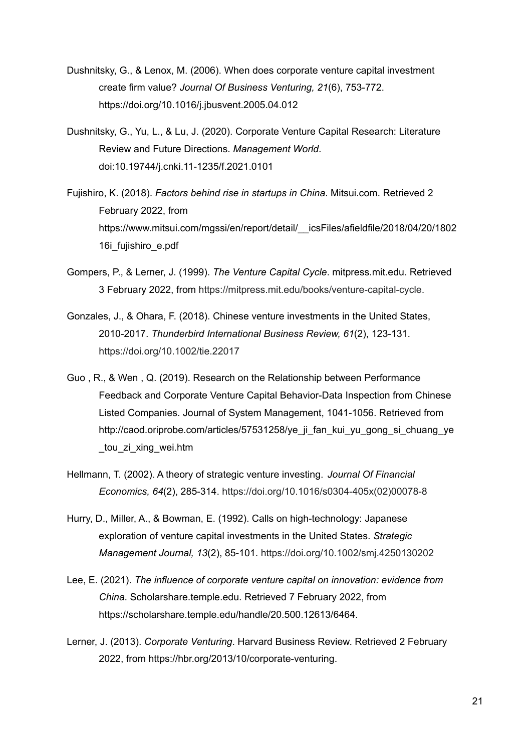- Dushnitsky, G., & Lenox, M. (2006). When does corporate venture capital investment create firm value? *Journal Of Business Venturing, 21*(6), 753-772. <https://doi.org/10.1016/j.jbusvent.2005.04.012>
- Dushnitsky, G., Yu, L., & Lu, J. (2020). Corporate Venture Capital Research: Literature Review and Future Directions. *Management World*. doi:10.19744/j.cnki.11-1235/f.2021.0101
- Fujishiro, K. (2018). *Factors behind rise in startups in China*. Mitsui.com. Retrieved 2 February 2022, from [https://www.mitsui.com/mgssi/en/report/detail/\\_\\_icsFiles/afieldfile/2018/04/20/1802](https://www.mitsui.com/mgssi/en/report/detail/__icsFiles/afieldfile/2018/04/20/180216i_fujishiro_e.pdf) [16i\\_fujishiro\\_e.pdf](https://www.mitsui.com/mgssi/en/report/detail/__icsFiles/afieldfile/2018/04/20/180216i_fujishiro_e.pdf)
- Gompers, P., & Lerner, J. (1999). *The Venture Capital Cycle*. mitpress.mit.edu. Retrieved 3 February 2022, from [https://mitpress.mit.edu/books/venture-capital-cycle.](https://mitpress.mit.edu/books/venture-capital-cycle)
- Gonzales, J., & Ohara, F. (2018). Chinese venture investments in the United States, 2010-2017. *Thunderbird International Business Review, 61*(2), 123-131. <https://doi.org/10.1002/tie.22017>
- Guo , R., & Wen , Q. (2019). Research on the Relationship between Performance Feedback and Corporate Venture Capital Behavior-Data Inspection from Chinese Listed Companies. Journal of System Management, 1041-1056. Retrieved from http://caod.oriprobe.com/articles/57531258/ye\_ji\_fan\_kui\_yu\_gong\_si\_chuang\_ye\_ \_tou\_zi\_xing\_wei.htm
- Hellmann, T. (2002). A theory of strategic venture investing. *Journal Of Financial Economics, 64*(2), 285-314. [https://doi.org/10.1016/s0304-405x\(02\)00078-8](https://doi.org/10.1016/s0304-405x(02)00078-8)
- Hurry, D., Miller, A., & Bowman, E. (1992). Calls on high-technology: Japanese exploration of venture capital investments in the United States. *Strategic Management Journal, 13*(2), 85-101. <https://doi.org/10.1002/smj.4250130202>
- Lee, E. (2021). *The influence of corporate venture capital on innovation: evidence from China*. Scholarshare.temple.edu. Retrieved 7 February 2022, from https://scholarshare.temple.edu/handle/20.500.12613/6464.
- Lerner, J. (2013). *Corporate Venturing*. Harvard Business Review. Retrieved 2 February 2022, from [https://hbr.org/2013/10/corporate-venturing.](https://hbr.org/2013/10/corporate-venturing)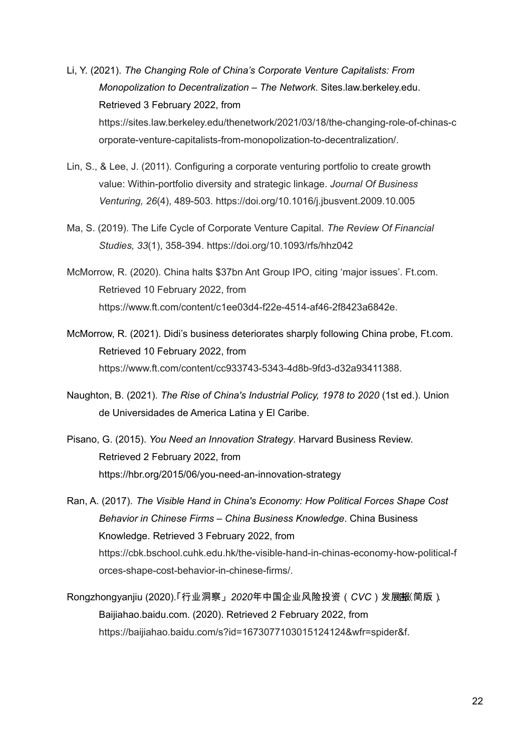- Li, Y. (2021). *The Changing Role of China's Corporate Venture Capitalists: From Monopolization to Decentralization – The Network*. Sites.law.berkeley.edu. Retrieved 3 February 2022, from [https://sites.law.berkeley.edu/thenetwork/2021/03/18/the-changing-role-of-chinas-c](https://sites.law.berkeley.edu/thenetwork/2021/03/18/the-changing-role-of-chinas-corporate-venture-capitalists-from-monopolization-to-decentralization/) [orporate-venture-capitalists-from-monopolization-to-decentralization/.](https://sites.law.berkeley.edu/thenetwork/2021/03/18/the-changing-role-of-chinas-corporate-venture-capitalists-from-monopolization-to-decentralization/)
- Lin, S., & Lee, J. (2011). Configuring a corporate venturing portfolio to create growth value: Within-portfolio diversity and strategic linkage. *Journal Of Business Venturing, 26*(4), 489-503. https://doi.org/10.1016/j.jbusvent.2009.10.005
- Ma, S. (2019). The Life Cycle of Corporate Venture Capital. *The Review Of Financial Studies, 33*(1), 358-394. <https://doi.org/10.1093/rfs/hhz042>
- McMorrow, R. (2020). China halts \$37bn Ant Group IPO, citing 'major issues'. Ft.com. Retrieved 10 February 2022, from https://www.ft.com/content/c1ee03d4-f22e-4514-af46-2f8423a6842e.
- McMorrow, R. (2021). Didi's business deteriorates sharply following China probe, Ft.com. Retrieved 10 February 2022, from <https://www.ft.com/content/cc933743-5343-4d8b-9fd3-d32a93411388>.
- Naughton, B. (2021). *The Rise of China's Industrial Policy, 1978 to 2020* (1st ed.). Union de Universidades de America Latina y El Caribe.
- Pisano, G. (2015). *You Need an Innovation Strategy*. Harvard Business Review. Retrieved 2 February 2022, from <https://hbr.org/2015/06/you-need-an-innovation-strategy>
- Ran, A. (2017). *The Visible Hand in China's Economy: How Political Forces Shape Cost Behavior in Chinese Firms – China Business Knowledge*. China Business Knowledge. Retrieved 3 February 2022, from [https://cbk.bschool.cuhk.edu.hk/the-visible-hand-in-chinas-economy-how-political-f](https://cbk.bschool.cuhk.edu.hk/the-visible-hand-in-chinas-economy-how-political-forces-shape-cost-behavior-in-chinese-firms/) [orces-shape-cost-behavior-in-chinese-firms/](https://cbk.bschool.cuhk.edu.hk/the-visible-hand-in-chinas-economy-how-political-forces-shape-cost-behavior-in-chinese-firms/).
- Rongzhongyanjiu (2020).「行业洞察」2020年中国企业风险投资(CVC)发展报(简版). Baijiahao.baidu.com. (2020). Retrieved 2 February 2022, from <https://baijiahao.baidu.com/s?id=1673077103015124124&wfr=spider&f>.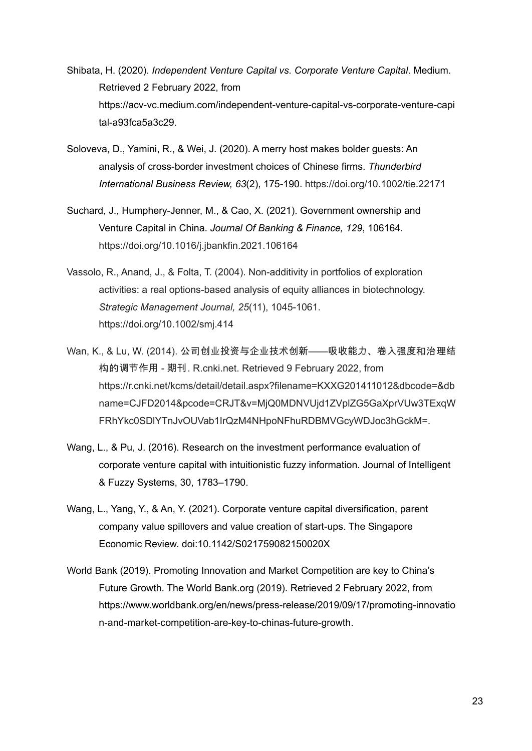- Shibata, H. (2020). *Independent Venture Capital vs. Corporate Venture Capital*. Medium. Retrieved 2 February 2022, from [https://acv-vc.medium.com/independent-venture-capital-vs-corporate-venture-capi](https://acv-vc.medium.com/independent-venture-capital-vs-corporate-venture-capital-a93fca5a3c29) [tal-a93fca5a3c29](https://acv-vc.medium.com/independent-venture-capital-vs-corporate-venture-capital-a93fca5a3c29).
- Soloveva, D., Yamini, R., & Wei, J. (2020). A merry host makes bolder guests: An analysis of cross-border investment choices of Chinese firms. *Thunderbird International Business Review, 63*(2), 175-190. <https://doi.org/10.1002/tie.22171>
- Suchard, J., Humphery-Jenner, M., & Cao, X. (2021). Government ownership and Venture Capital in China. *Journal Of Banking & Finance, 129*, 106164. <https://doi.org/10.1016/j.jbankfin.2021.106164>
- Vassolo, R., Anand, J., & Folta, T. (2004). Non-additivity in portfolios of exploration activities: a real options-based analysis of equity alliances in biotechnology. *Strategic Management Journal, 25*(11), 1045-1061. https://doi.org/10.1002/smj.414
- Wan, K., & Lu, W. (2014). 公司创业投资与企业技术创新*——*吸收能力、卷入强度和治理结 构的调节作用 *-* 期刊. R.cnki.net. Retrieved 9 February 2022, from https://r.cnki.net/kcms/detail/detail.aspx?filename=KXXG201411012&dbcode=&db name=CJFD2014&pcode=CRJT&v=MjQ0MDNVUjd1ZVplZG5GaXprVUw3TExqW FRhYkc0SDlYTnJvOUVab1IrQzM4NHpoNFhuRDBMVGcyWDJoc3hGckM=.
- Wang, L., & Pu, J. (2016). Research on the investment performance evaluation of corporate venture capital with intuitionistic fuzzy information. Journal of Intelligent & Fuzzy Systems, 30, 1783–1790.
- Wang, L., Yang, Y., & An, Y. (2021). Corporate venture capital diversification, parent company value spillovers and value creation of start-ups. The Singapore Economic Review. doi:10.1142/S021759082150020X
- World Bank (2019). Promoting Innovation and Market Competition are key to China's Future Growth. The World Bank.org (2019). Retrieved 2 February 2022, from [https://www.worldbank.org/en/news/press-release/2019/09/17/promoting-innovatio](https://www.worldbank.org/en/news/press-release/2019/09/17/promoting-innovation-and-market-competition-are-key-to-chinas-future-growth) [n-and-market-competition-are-key-to-chinas-future-growth](https://www.worldbank.org/en/news/press-release/2019/09/17/promoting-innovation-and-market-competition-are-key-to-chinas-future-growth).